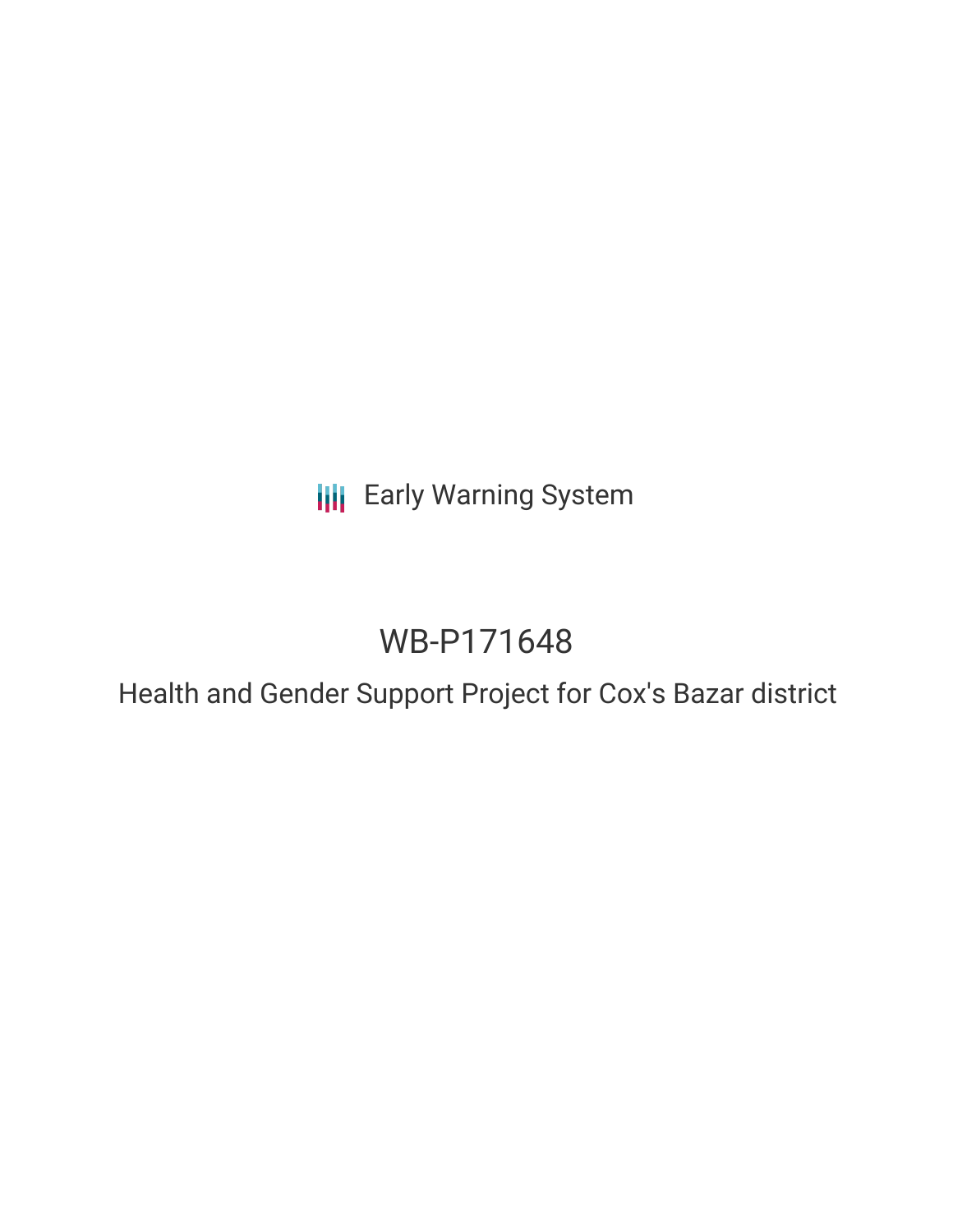**III** Early Warning System

# WB-P171648

Health and Gender Support Project for Cox's Bazar district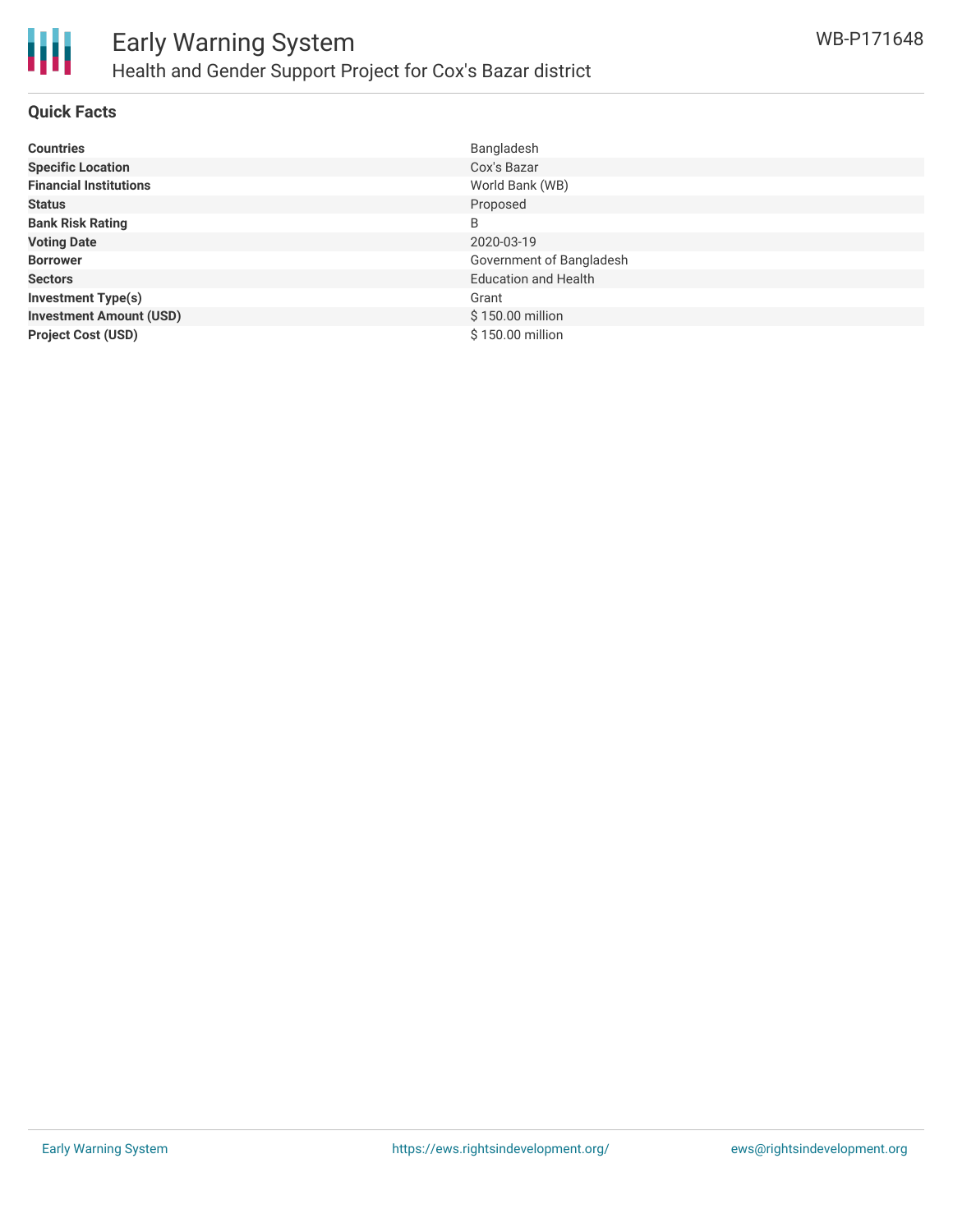

#### **Quick Facts**

| <b>Countries</b>               | Bangladesh                  |
|--------------------------------|-----------------------------|
| <b>Specific Location</b>       | Cox's Bazar                 |
| <b>Financial Institutions</b>  | World Bank (WB)             |
| <b>Status</b>                  | Proposed                    |
| <b>Bank Risk Rating</b>        | B                           |
| <b>Voting Date</b>             | 2020-03-19                  |
| <b>Borrower</b>                | Government of Bangladesh    |
| <b>Sectors</b>                 | <b>Education and Health</b> |
| <b>Investment Type(s)</b>      | Grant                       |
| <b>Investment Amount (USD)</b> | \$150.00 million            |
| <b>Project Cost (USD)</b>      | \$150.00 million            |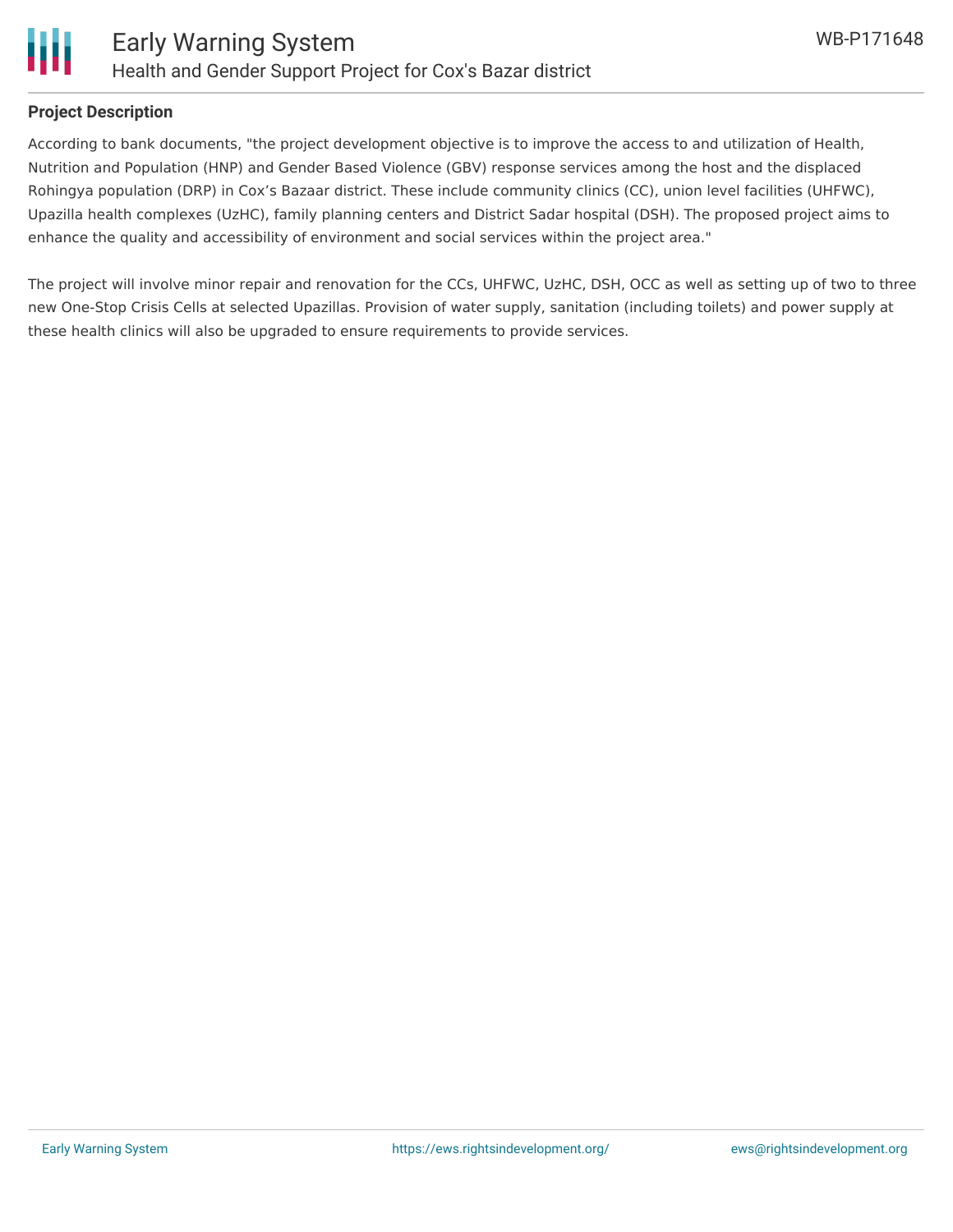

# **Project Description**

According to bank documents, "the project development objective is to improve the access to and utilization of Health, Nutrition and Population (HNP) and Gender Based Violence (GBV) response services among the host and the displaced Rohingya population (DRP) in Cox's Bazaar district. These include community clinics (CC), union level facilities (UHFWC), Upazilla health complexes (UzHC), family planning centers and District Sadar hospital (DSH). The proposed project aims to enhance the quality and accessibility of environment and social services within the project area."

The project will involve minor repair and renovation for the CCs, UHFWC, UzHC, DSH, OCC as well as setting up of two to three new One-Stop Crisis Cells at selected Upazillas. Provision of water supply, sanitation (including toilets) and power supply at these health clinics will also be upgraded to ensure requirements to provide services.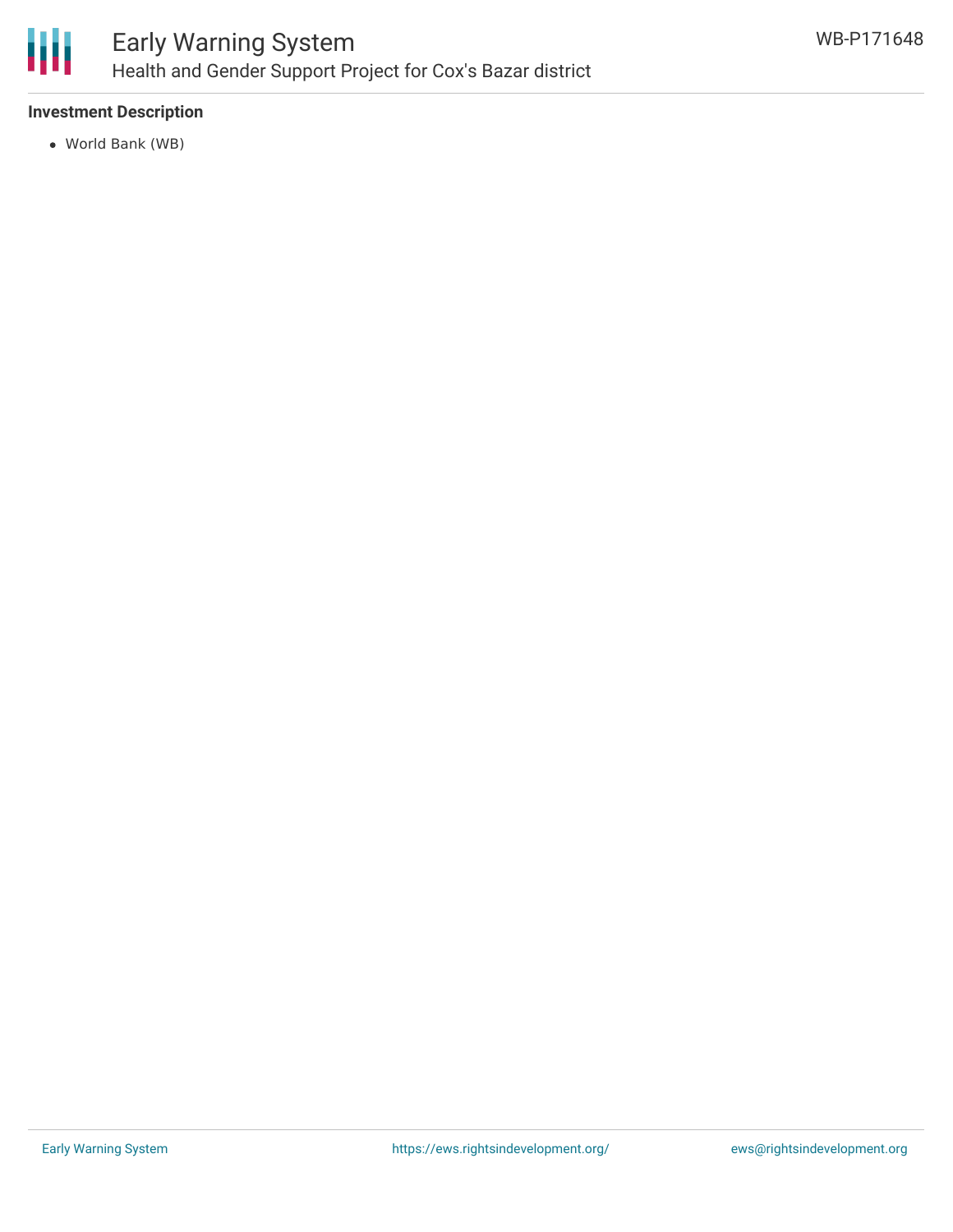

# **Investment Description**

World Bank (WB)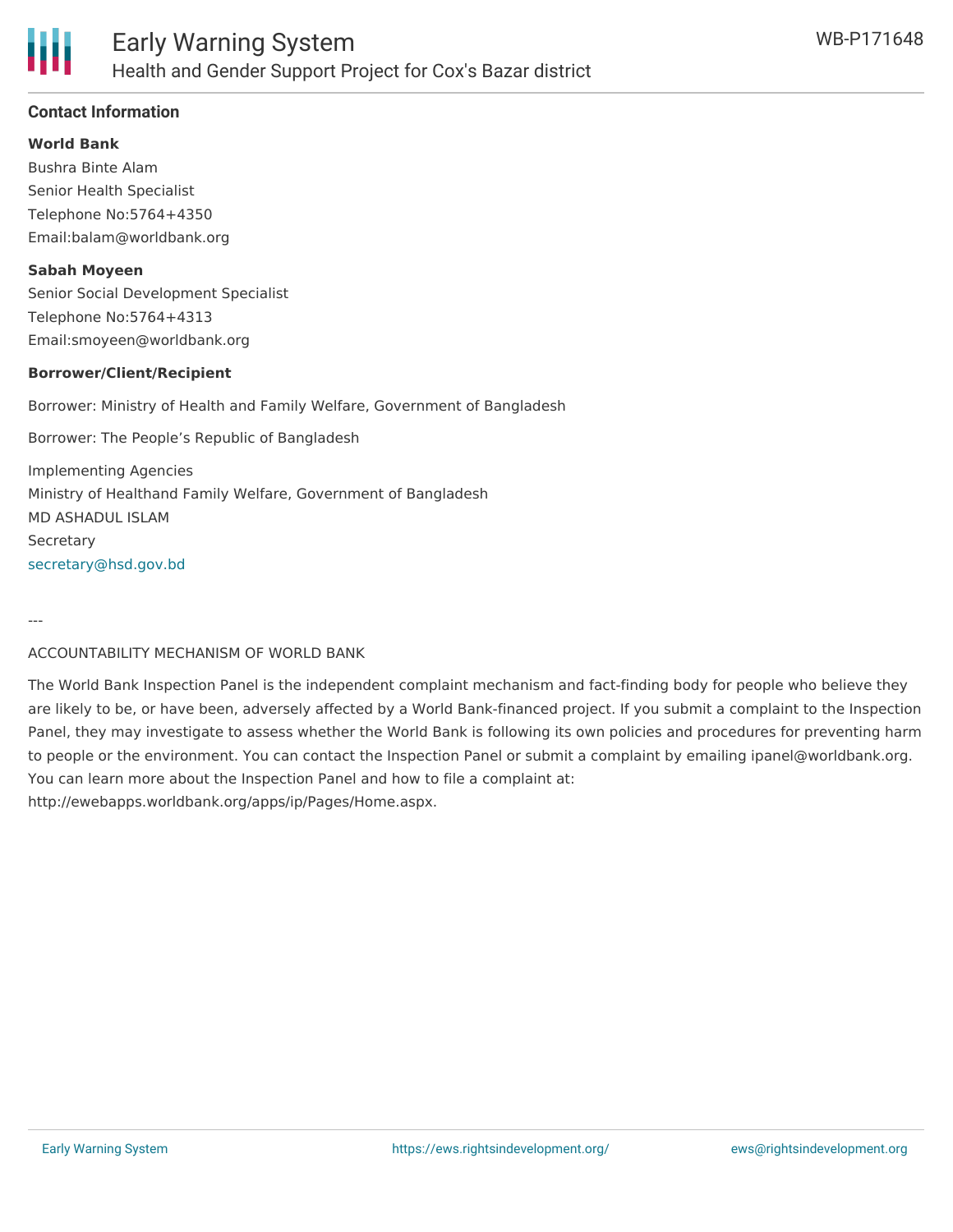

# **Contact Information**

**World Bank**

Bushra Binte Alam Senior Health Specialist Telephone No:5764+4350 Email:balam@worldbank.org

**Sabah Moyeen**

Senior Social Development Specialist Telephone No:5764+4313 Email:smoyeen@worldbank.org

#### **Borrower/Client/Recipient**

Borrower: Ministry of Health and Family Welfare, Government of Bangladesh

Borrower: The People's Republic of Bangladesh

Implementing Agencies Ministry of Healthand Family Welfare, Government of Bangladesh MD ASHADUL ISLAM **Secretary** [secretary@hsd.gov.bd](mailto:secretary@hsd.gov.bd)

---

#### ACCOUNTABILITY MECHANISM OF WORLD BANK

The World Bank Inspection Panel is the independent complaint mechanism and fact-finding body for people who believe they are likely to be, or have been, adversely affected by a World Bank-financed project. If you submit a complaint to the Inspection Panel, they may investigate to assess whether the World Bank is following its own policies and procedures for preventing harm to people or the environment. You can contact the Inspection Panel or submit a complaint by emailing ipanel@worldbank.org. You can learn more about the Inspection Panel and how to file a complaint at: http://ewebapps.worldbank.org/apps/ip/Pages/Home.aspx.